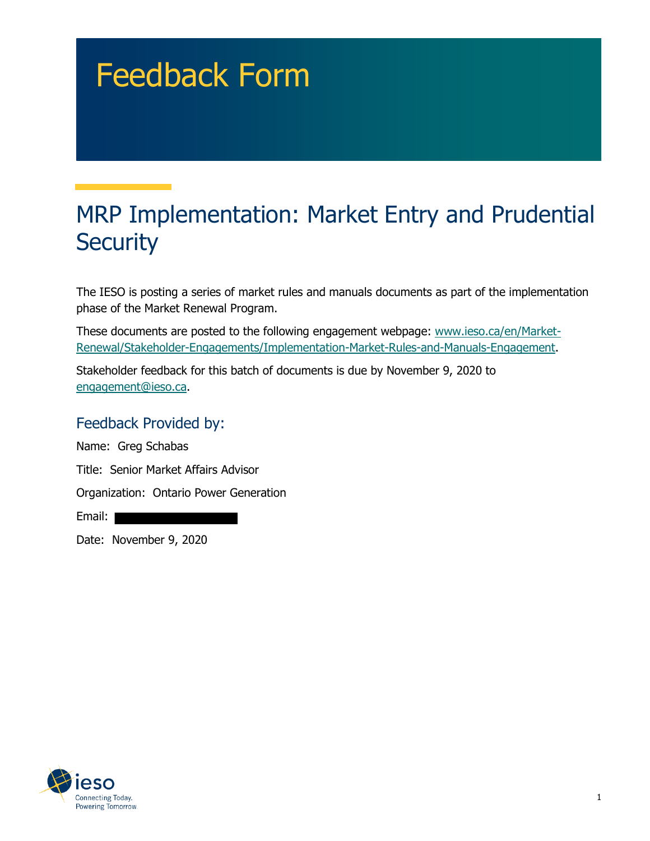# Feedback Form

# MRP Implementation: Market Entry and Prudential **Security**

The IESO is posting a series of market rules and manuals documents as part of the implementation phase of the Market Renewal Program.

These documents are posted to the following engagement webpage: [www.ieso.ca/en/Market-](http://www.ieso.ca/en/Market-Renewal/Stakeholder-Engagements/Implementation-Market-Rules-and-Manuals-Engagement)[Renewal/Stakeholder-Engagements/Implementation-Market-Rules-and-Manuals-Engagement.](http://www.ieso.ca/en/Market-Renewal/Stakeholder-Engagements/Implementation-Market-Rules-and-Manuals-Engagement)

Stakeholder feedback for this batch of documents is due by November 9, 2020 to [engagement@ieso.ca.](mailto:engagement@ieso.ca)

## Feedback Provided by:

Name: Greg Schabas Title: Senior Market Affairs Advisor Organization: Ontario Power Generation Email: Date: November 9, 2020

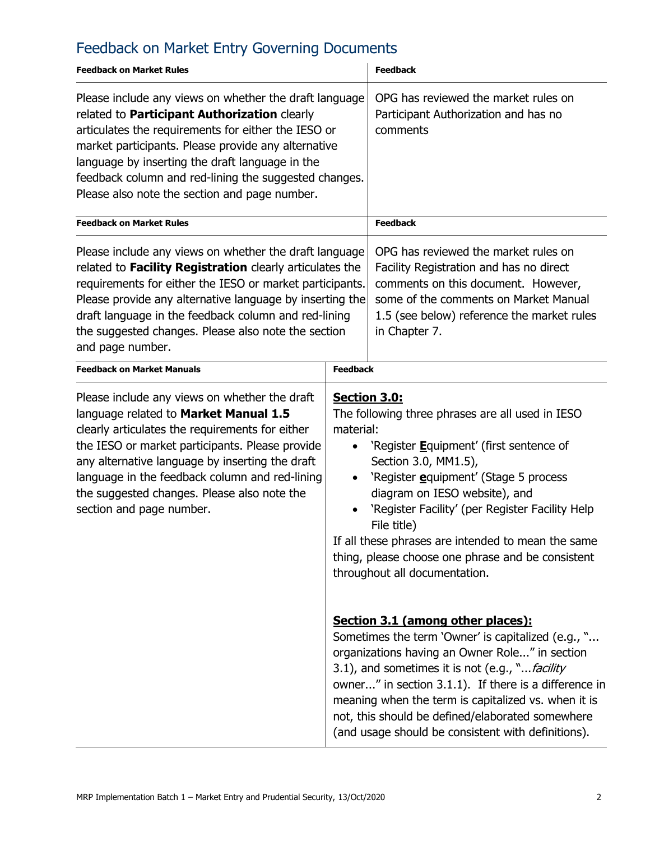## Feedback on Market Entry Governing Documents

| <b>Feedback on Market Rules</b>                                                                                                                                                                                                                                                                                                                                                   |                           | <b>Feedback</b>                                                                                                                                                                                                                                                                                                                                                                                                        |
|-----------------------------------------------------------------------------------------------------------------------------------------------------------------------------------------------------------------------------------------------------------------------------------------------------------------------------------------------------------------------------------|---------------------------|------------------------------------------------------------------------------------------------------------------------------------------------------------------------------------------------------------------------------------------------------------------------------------------------------------------------------------------------------------------------------------------------------------------------|
| Please include any views on whether the draft language<br>related to Participant Authorization clearly<br>articulates the requirements for either the IESO or<br>market participants. Please provide any alternative<br>language by inserting the draft language in the<br>feedback column and red-lining the suggested changes.<br>Please also note the section and page number. |                           | OPG has reviewed the market rules on<br>Participant Authorization and has no<br>comments                                                                                                                                                                                                                                                                                                                               |
| <b>Feedback on Market Rules</b>                                                                                                                                                                                                                                                                                                                                                   |                           | <b>Feedback</b>                                                                                                                                                                                                                                                                                                                                                                                                        |
| Please include any views on whether the draft language<br>related to Facility Registration clearly articulates the<br>requirements for either the IESO or market participants.<br>Please provide any alternative language by inserting the<br>draft language in the feedback column and red-lining<br>the suggested changes. Please also note the section<br>and page number.     |                           | OPG has reviewed the market rules on<br>Facility Registration and has no direct<br>comments on this document. However,<br>some of the comments on Market Manual<br>1.5 (see below) reference the market rules<br>in Chapter 7.                                                                                                                                                                                         |
| <b>Feedback on Market Manuals</b>                                                                                                                                                                                                                                                                                                                                                 | <b>Feedback</b>           |                                                                                                                                                                                                                                                                                                                                                                                                                        |
| Please include any views on whether the draft<br>language related to Market Manual 1.5<br>clearly articulates the requirements for either<br>the IESO or market participants. Please provide<br>any alternative language by inserting the draft<br>language in the feedback column and red-lining<br>the suggested changes. Please also note the<br>section and page number.      | Section 3.0:<br>material: | The following three phrases are all used in IESO<br>'Register <b>E</b> quipment' (first sentence of<br>Section 3.0, MM1.5),<br>'Register equipment' (Stage 5 process<br>diagram on IESO website), and<br>'Register Facility' (per Register Facility Help<br>File title)<br>If all these phrases are intended to mean the same<br>thing, please choose one phrase and be consistent<br>throughout all documentation.    |
|                                                                                                                                                                                                                                                                                                                                                                                   |                           | Section 3.1 (among other places):<br>Sometimes the term 'Owner' is capitalized (e.g., "<br>organizations having an Owner Role" in section<br>3.1), and sometimes it is not (e.g., " facility<br>owner" in section 3.1.1). If there is a difference in<br>meaning when the term is capitalized vs. when it is<br>not, this should be defined/elaborated somewhere<br>(and usage should be consistent with definitions). |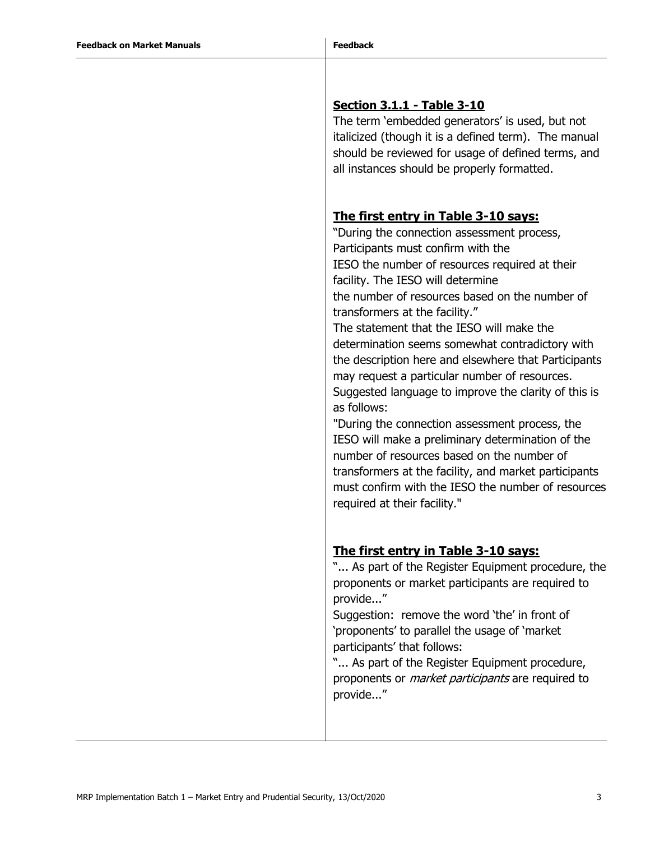#### **Section 3.1.1 - Table 3-10**

The term 'embedded generators' is used, but not italicized (though it is a defined term). The manual should be reviewed for usage of defined terms, and all instances should be properly formatted.

#### **The first entry in Table 3-10 says:**

"During the connection assessment process, Participants must confirm with the IESO the number of resources required at their facility. The IESO will determine the number of resources based on the number of transformers at the facility." The statement that the IESO will make the determination seems somewhat contradictory with the description here and elsewhere that Participants may request a particular number of resources. Suggested language to improve the clarity of this is as follows:

"During the connection assessment process, the IESO will make a preliminary determination of the number of resources based on the number of transformers at the facility, and market participants must confirm with the IESO the number of resources required at their facility."

#### **The first entry in Table 3-10 says:**

"... As part of the Register Equipment procedure, the proponents or market participants are required to provide..."

Suggestion: remove the word 'the' in front of 'proponents' to parallel the usage of 'market participants' that follows:

"... As part of the Register Equipment procedure, proponents or *market participants* are required to provide..."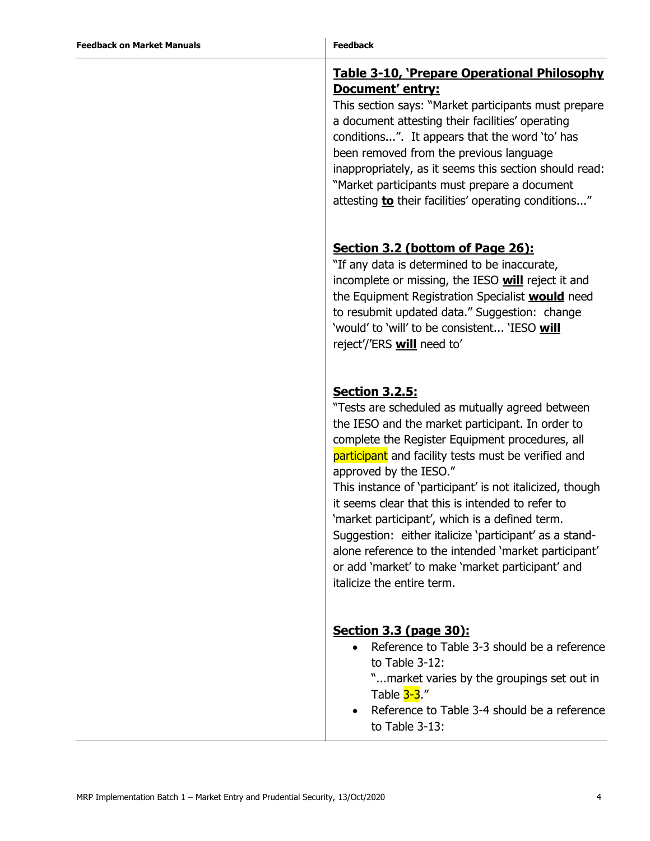## **Table 3-10, 'Prepare Operational Philosophy Document' entry:**

This section says: "Market participants must prepare a document attesting their facilities' operating conditions...". It appears that the word 'to' has been removed from the previous language inappropriately, as it seems this section should read: "Market participants must prepare a document attesting **to** their facilities' operating conditions..."

## **Section 3.2 (bottom of Page 26):**

"If any data is determined to be inaccurate, incomplete or missing, the IESO **will** reject it and the Equipment Registration Specialist **would** need to resubmit updated data." Suggestion: change 'would' to 'will' to be consistent... 'IESO **will** reject'/'ERS **will** need to'

## **Section 3.2.5:**

"Tests are scheduled as mutually agreed between the IESO and the market participant. In order to complete the Register Equipment procedures, all participant and facility tests must be verified and approved by the IESO." This instance of 'participant' is not italicized, though it seems clear that this is intended to refer to 'market participant', which is a defined term. Suggestion: either italicize 'participant' as a standalone reference to the intended 'market participant' or add 'market' to make 'market participant' and italicize the entire term.

## **Section 3.3 (page 30):**

- Reference to Table 3-3 should be a reference to Table 3-12: "...market varies by the groupings set out in Table 3-3."
- Reference to Table 3-4 should be a reference to Table 3-13: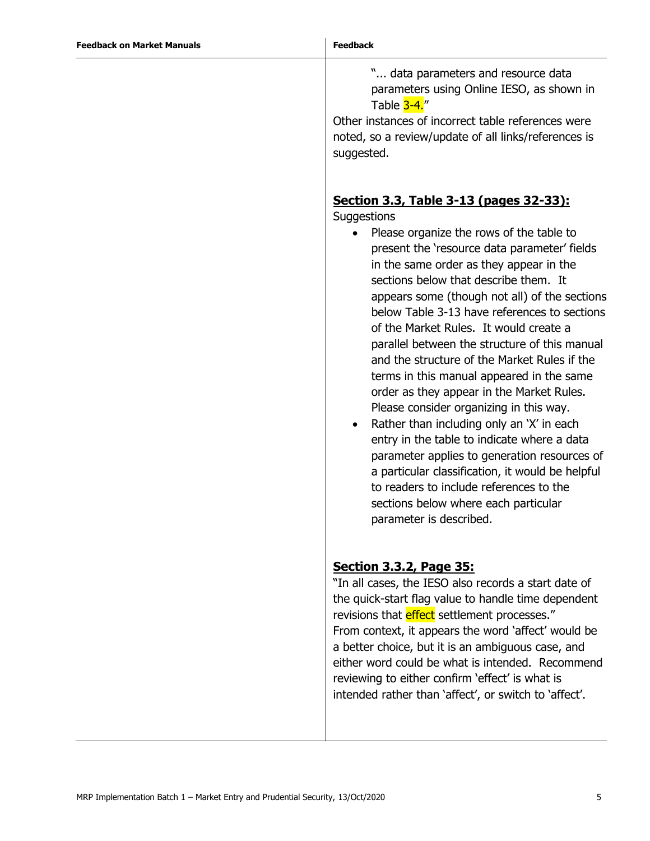"... data parameters and resource data parameters using Online IESO, as shown in Table 3-4."

Other instances of incorrect table references were noted, so a review/update of all links/references is suggested.

## **Section 3.3, Table 3-13 (pages 32-33):**

**Suggestions** 

- Please organize the rows of the table to present the 'resource data parameter' fields in the same order as they appear in the sections below that describe them. It appears some (though not all) of the sections below Table 3-13 have references to sections of the Market Rules. It would create a parallel between the structure of this manual and the structure of the Market Rules if the terms in this manual appeared in the same order as they appear in the Market Rules. Please consider organizing in this way.
- Rather than including only an 'X' in each entry in the table to indicate where a data parameter applies to generation resources of a particular classification, it would be helpful to readers to include references to the sections below where each particular parameter is described.

#### **Section 3.3.2, Page 35:**

"In all cases, the IESO also records a start date of the quick-start flag value to handle time dependent revisions that *effect* settlement processes." From context, it appears the word 'affect' would be a better choice, but it is an ambiguous case, and either word could be what is intended. Recommend reviewing to either confirm 'effect' is what is intended rather than 'affect', or switch to 'affect'.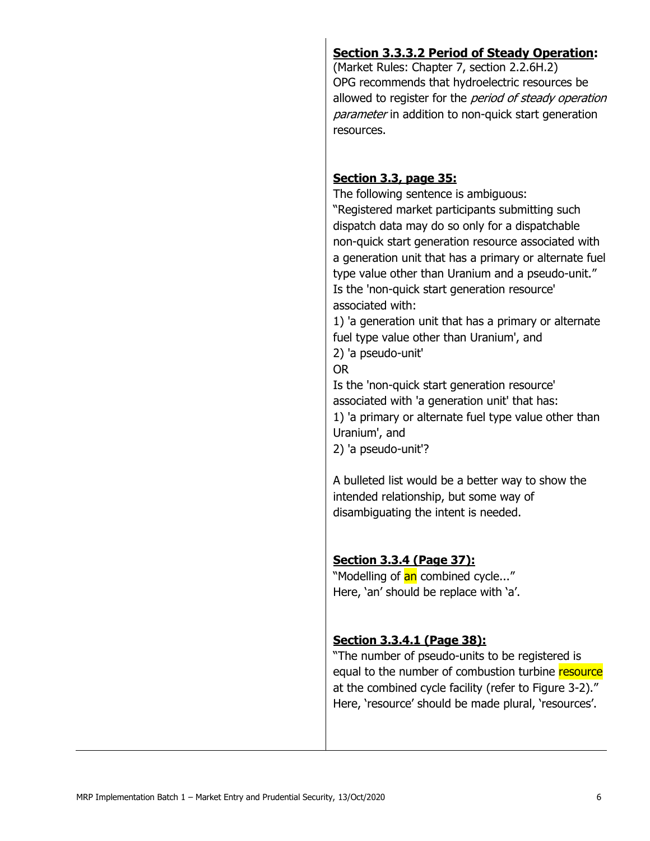## **Section 3.3.3.2 Period of Steady Operation:**

(Market Rules: Chapter 7, section 2.2.6H.2) OPG recommends that hydroelectric resources be allowed to register for the *period of steady operation* parameter in addition to non-quick start generation resources.

## **Section 3.3, page 35:**

The following sentence is ambiguous: "Registered market participants submitting such dispatch data may do so only for a dispatchable non-quick start generation resource associated with a generation unit that has a primary or alternate fuel type value other than Uranium and a pseudo-unit." Is the 'non-quick start generation resource' associated with:

1) 'a generation unit that has a primary or alternate fuel type value other than Uranium', and

2) 'a pseudo-unit'

OR

Is the 'non-quick start generation resource' associated with 'a generation unit' that has: 1) 'a primary or alternate fuel type value other than Uranium', and

2) 'a pseudo-unit'?

A bulleted list would be a better way to show the intended relationship, but some way of disambiguating the intent is needed.

## **Section 3.3.4 (Page 37):**

"Modelling of an combined cycle..." Here, 'an' should be replace with 'a'.

## **Section 3.3.4.1 (Page 38):**

"The number of pseudo-units to be registered is equal to the number of combustion turbine resource at the combined cycle facility (refer to Figure 3-2)." Here, 'resource' should be made plural, 'resources'.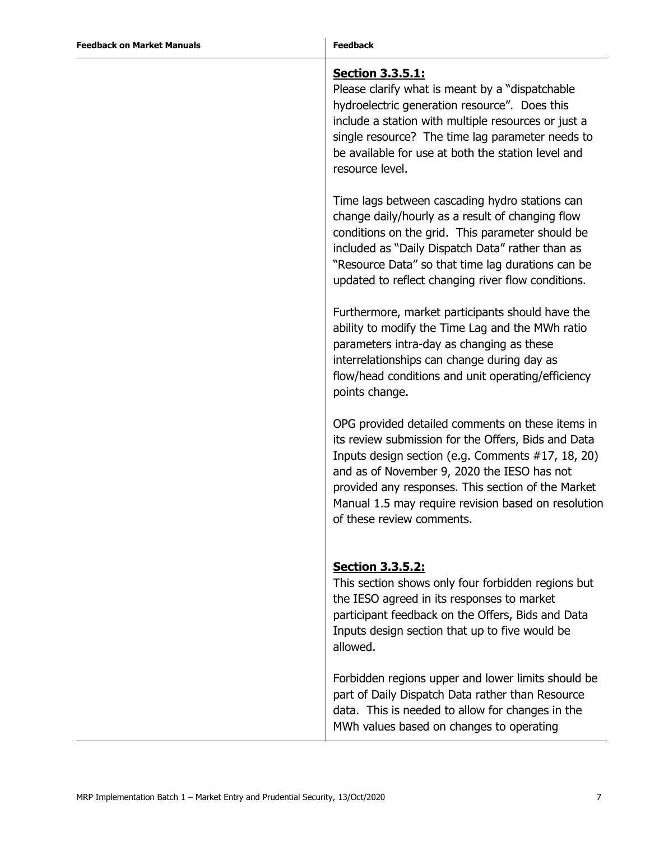#### **Section 3.3.5.1:**

Please clarify what is meant by a "dispatchable hydroelectric generation resource". Does this include a station with multiple resources or just a single resource? The time lag parameter needs to be available for use at both the station level and resource level.

Time lags between cascading hydro stations can change daily/hourly as a result of changing flow conditions on the grid. This parameter should be included as "Daily Dispatch Data" rather than as "Resource Data" so that time lag durations can be updated to reflect changing river flow conditions.

Furthermore, market participants should have the ability to modify the Time Lag and the MWh ratio parameters intra-day as changing as these interrelationships can change during day as flow/head conditions and unit operating/efficiency points change.

OPG provided detailed comments on these items in its review submission for the Offers, Bids and Data Inputs design section (e.g. Comments #17, 18, 20) and as of November 9, 2020 the IESO has not provided any responses. This section of the Market Manual 1.5 may require revision based on resolution of these review comments.

## **Section 3.3.5.2:**

This section shows only four forbidden regions but the IESO agreed in its responses to market participant feedback on the Offers, Bids and Data Inputs design section that up to five would be allowed.

Forbidden regions upper and lower limits should be part of Daily Dispatch Data rather than Resource data. This is needed to allow for changes in the MWh values based on changes to operating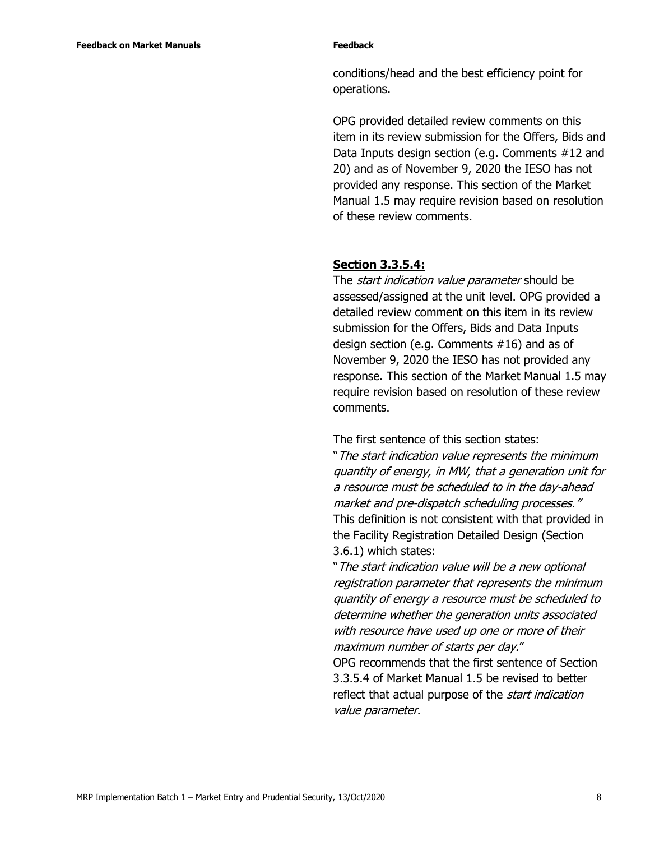conditions/head and the best efficiency point for operations.

OPG provided detailed review comments on this item in its review submission for the Offers, Bids and Data Inputs design section (e.g. Comments #12 and 20) and as of November 9, 2020 the IESO has not provided any response. This section of the Market Manual 1.5 may require revision based on resolution of these review comments.

#### **Section 3.3.5.4:**

The *start indication value parameter* should be assessed/assigned at the unit level. OPG provided a detailed review comment on this item in its review submission for the Offers, Bids and Data Inputs design section (e.g. Comments #16) and as of November 9, 2020 the IESO has not provided any response. This section of the Market Manual 1.5 may require revision based on resolution of these review comments.

The first sentence of this section states:

"The start indication value represents the minimum quantity of energy, in MW, that a generation unit for a resource must be scheduled to in the day-ahead market and pre-dispatch scheduling processes." This definition is not consistent with that provided in the Facility Registration Detailed Design (Section 3.6.1) which states:

"The start indication value will be a new optional registration parameter that represents the minimum quantity of energy a resource must be scheduled to determine whether the generation units associated with resource have used up one or more of their maximum number of starts per day."

OPG recommends that the first sentence of Section 3.3.5.4 of Market Manual 1.5 be revised to better reflect that actual purpose of the start indication value parameter.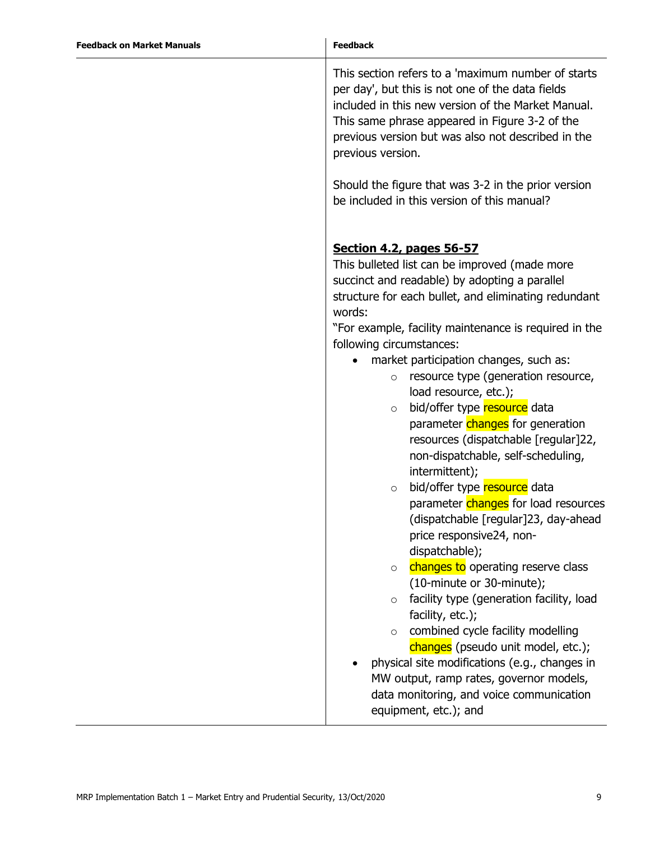This section refers to a 'maximum number of starts per day', but this is not one of the data fields included in this new version of the Market Manual. This same phrase appeared in Figure 3-2 of the previous version but was also not described in the previous version.

Should the figure that was 3-2 in the prior version be included in this version of this manual?

#### **Section 4.2, pages 56-57**

This bulleted list can be improved (made more succinct and readable) by adopting a parallel structure for each bullet, and eliminating redundant words:

"For example, facility maintenance is required in the following circumstances:

- market participation changes, such as:
	- o resource type (generation resource, load resource, etc.);
	- o bid/offer type resource data parameter changes for generation resources (dispatchable [regular]22, non-dispatchable, self-scheduling, intermittent);
	- o bid/offer type resource data parameter changes for load resources (dispatchable [regular]23, day-ahead price responsive24, nondispatchable);
	- o changes to operating reserve class (10-minute or 30-minute);
	- $\circ$  facility type (generation facility, load facility, etc.);
	- $\circ$  combined cycle facility modelling changes (pseudo unit model, etc.);
- physical site modifications (e.g., changes in MW output, ramp rates, governor models, data monitoring, and voice communication equipment, etc.); and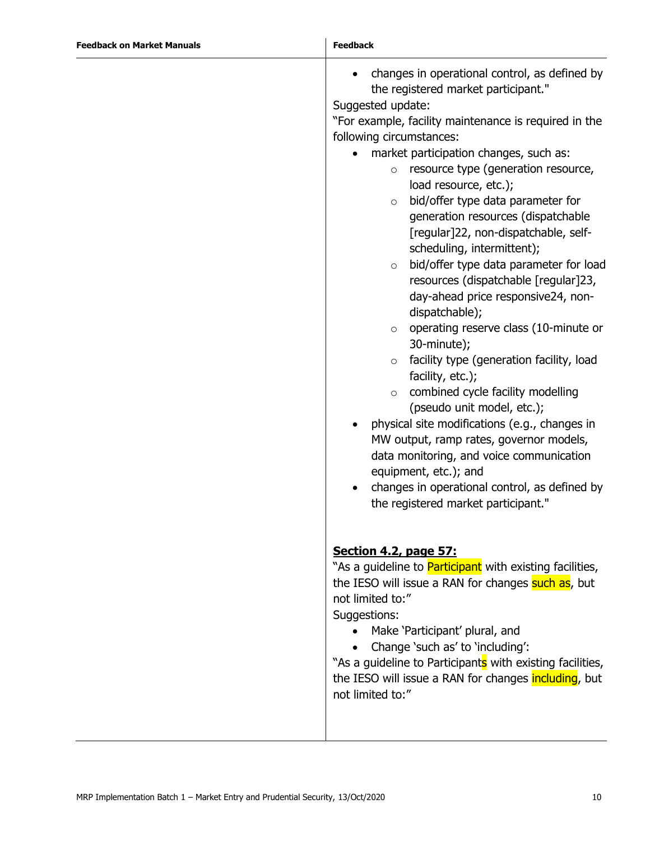| <b>Feedback on Market Manuals</b> | <b>Feedback</b>                                                                                                                                                                                                                                                                                                                                                                                                                                                                                                                                                                                                                                                                                                                                                                                                                                                                                                                                                                                                                                                                                                                        |
|-----------------------------------|----------------------------------------------------------------------------------------------------------------------------------------------------------------------------------------------------------------------------------------------------------------------------------------------------------------------------------------------------------------------------------------------------------------------------------------------------------------------------------------------------------------------------------------------------------------------------------------------------------------------------------------------------------------------------------------------------------------------------------------------------------------------------------------------------------------------------------------------------------------------------------------------------------------------------------------------------------------------------------------------------------------------------------------------------------------------------------------------------------------------------------------|
|                                   | changes in operational control, as defined by<br>the registered market participant."<br>Suggested update:<br>"For example, facility maintenance is required in the<br>following circumstances:<br>market participation changes, such as:<br>resource type (generation resource,<br>$\circ$<br>load resource, etc.);<br>bid/offer type data parameter for<br>$\circ$<br>generation resources (dispatchable<br>[regular]22, non-dispatchable, self-<br>scheduling, intermittent);<br>bid/offer type data parameter for load<br>$\circ$<br>resources (dispatchable [regular]23,<br>day-ahead price responsive24, non-<br>dispatchable);<br>operating reserve class (10-minute or<br>$\circ$<br>30-minute);<br>facility type (generation facility, load<br>$\circ$<br>facility, etc.);<br>combined cycle facility modelling<br>$\circ$<br>(pseudo unit model, etc.);<br>physical site modifications (e.g., changes in<br>$\bullet$<br>MW output, ramp rates, governor models,<br>data monitoring, and voice communication<br>equipment, etc.); and<br>changes in operational control, as defined by<br>the registered market participant." |
|                                   | <b>Section 4.2, page 57:</b><br>"As a guideline to <b>Participant</b> with existing facilities,<br>the IESO will issue a RAN for changes such as, but<br>not limited to:"<br>Suggestions:<br>Make 'Participant' plural, and<br>Change 'such as' to 'including':<br>"As a guideline to Participants with existing facilities,<br>the IESO will issue a RAN for changes including, but<br>not limited to:"                                                                                                                                                                                                                                                                                                                                                                                                                                                                                                                                                                                                                                                                                                                               |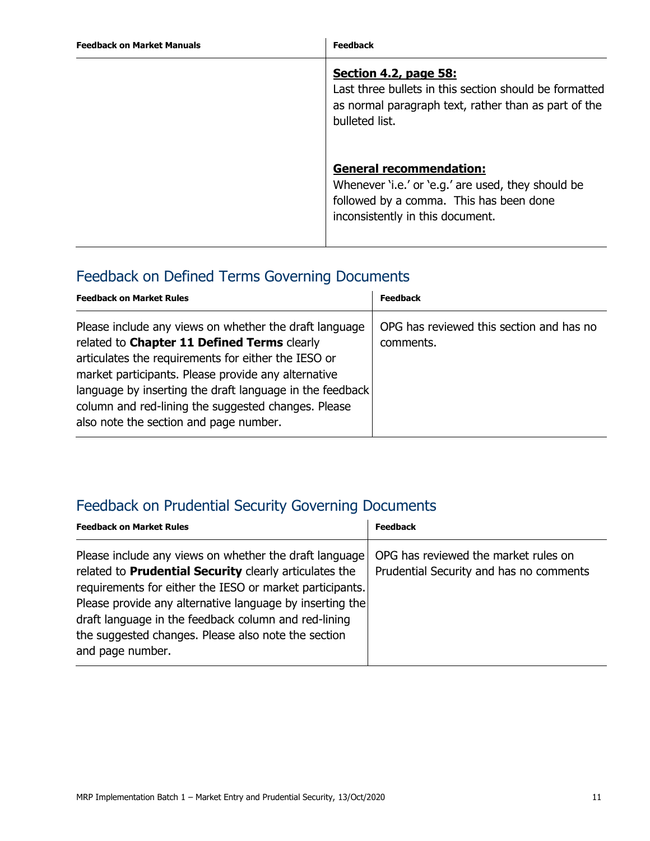| <b>Feedback on Market Manuals</b> | <b>Feedback</b>                                                                                                                                                     |
|-----------------------------------|---------------------------------------------------------------------------------------------------------------------------------------------------------------------|
|                                   | Section 4.2, page 58:<br>Last three bullets in this section should be formatted<br>as normal paragraph text, rather than as part of the<br>bulleted list.           |
|                                   | <b>General recommendation:</b><br>Whenever 'i.e.' or 'e.g.' are used, they should be<br>followed by a comma. This has been done<br>inconsistently in this document. |

# Feedback on Defined Terms Governing Documents

| <b>Feedback on Market Rules</b>                                                                                                                                                                                                                                                                                                                                                  | <b>Feedback</b>                                       |
|----------------------------------------------------------------------------------------------------------------------------------------------------------------------------------------------------------------------------------------------------------------------------------------------------------------------------------------------------------------------------------|-------------------------------------------------------|
| Please include any views on whether the draft language<br>related to Chapter 11 Defined Terms clearly<br>articulates the requirements for either the IESO or<br>market participants. Please provide any alternative<br>language by inserting the draft language in the feedback<br>column and red-lining the suggested changes. Please<br>also note the section and page number. | OPG has reviewed this section and has no<br>comments. |

## Feedback on Prudential Security Governing Documents

| <b>Feedback on Market Rules</b>                                                                                                                                                                                                                                                                                                                                             | <b>Feedback</b>                                                                 |
|-----------------------------------------------------------------------------------------------------------------------------------------------------------------------------------------------------------------------------------------------------------------------------------------------------------------------------------------------------------------------------|---------------------------------------------------------------------------------|
| Please include any views on whether the draft language<br>related to Prudential Security clearly articulates the<br>requirements for either the IESO or market participants.<br>Please provide any alternative language by inserting the<br>draft language in the feedback column and red-lining<br>the suggested changes. Please also note the section<br>and page number. | OPG has reviewed the market rules on<br>Prudential Security and has no comments |